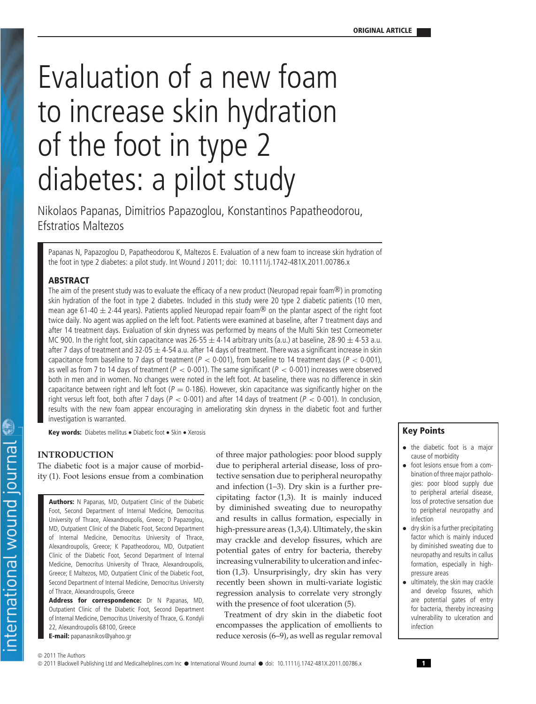# Evaluation of a new foam to increase skin hydration of the foot in type 2 diabetes: a pilot study

Nikolaos Papanas, Dimitrios Papazoglou, Konstantinos Papatheodorou, Efstratios Maltezos

Papanas N, Papazoglou D, Papatheodorou K, Maltezos E. Evaluation of a new foam to increase skin hydration of the foot in type 2 diabetes: a pilot study. Int Wound J 2011; doi: 10.1111/j.1742-481X.2011.00786.x

#### **ABSTRACT**

The aim of the present study was to evaluate the efficacy of a new product (Neuropad repair foam®) in promoting skin hydration of the foot in type 2 diabetes. Included in this study were 20 type 2 diabetic patients (10 men, mean age 61-40  $\pm$  2-44 years). Patients applied Neuropad repair foam® on the plantar aspect of the right foot twice daily. No agent was applied on the left foot. Patients were examined at baseline, after 7 treatment days and after 14 treatment days. Evaluation of skin dryness was performed by means of the Multi Skin test Corneometer MC 900. In the right foot, skin capacitance was  $26.55 \pm 4.14$  arbitrary units (a.u.) at baseline,  $28.90 \pm 4.53$  a.u. after 7 days of treatment and  $32.05 \pm 4.54$  a.u. after 14 days of treatment. There was a significant increase in skin capacitance from baseline to 7 days of treatment ( $P < 0.001$ ), from baseline to 14 treatment days ( $P < 0.001$ ), as well as from 7 to 14 days of treatment (<sup>P</sup> *<* 0·001). The same significant (<sup>P</sup> *<* 0·001) increases were observed both in men and in women. No changes were noted in the left foot. At baseline, there was no difference in skin capacitance between right and left foot ( $P = 0.186$ ). However, skin capacitance was significantly higher on the right versus left foot, both after 7 days (<sup>P</sup> *<* 0·001) and after 14 days of treatment (<sup>P</sup> *<* 0·001). In conclusion, results with the new foam appear encouraging in ameliorating skin dryness in the diabetic foot and further investigation is warranted.

**Key words:** Diabetes mellitus • Diabetic foot • Skin • Xerosis

## **INTRODUCTION**

The diabetic foot is a major cause of morbidity (1). Foot lesions ensue from a combination

**Authors:** N Papanas, MD, Outpatient Clinic of the Diabetic Foot, Second Department of Internal Medicine, Democritus University of Thrace, Alexandroupolis, Greece; D Papazoglou, MD, Outpatient Clinic of the Diabetic Foot, Second Department of Internal Medicine, Democritus University of Thrace, Alexandroupolis, Greece; K Papatheodorou, MD, Outpatient Clinic of the Diabetic Foot, Second Department of Internal Medicine, Democritus University of Thrace, Alexandroupolis, Greece; E Maltezos, MD, Outpatient Clinic of the Diabetic Foot, Second Department of Internal Medicine, Democritus University of Thrace, Alexandroupolis, Greece

**Address for correspondence:** Dr N Papanas, MD, Outpatient Clinic of the Diabetic Foot, Second Department of Internal Medicine, Democritus University of Thrace, G. Kondyli 22, Alexandroupolis 68100, Greece **E-mail:** papanasnikos@yahoo.gr

of three major pathologies: poor blood supply due to peripheral arterial disease, loss of protective sensation due to peripheral neuropathy and infection (1–3). Dry skin is a further precipitating factor (1,3). It is mainly induced by diminished sweating due to neuropathy and results in callus formation, especially in high-pressure areas (1,3,4). Ultimately, the skin may crackle and develop fissures, which are potential gates of entry for bacteria, thereby increasing vulnerability to ulceration and infection (1,3). Unsurprisingly, dry skin has very recently been shown in multi-variate logistic regression analysis to correlate very strongly with the presence of foot ulceration (5).

Treatment of dry skin in the diabetic foot encompasses the application of emollients to reduce xerosis (6–9), as well as regular removal

# **Key Points**

- the diabetic foot is a major cause of morbidity
- foot lesions ensue from a combination of three major pathologies: poor blood supply due to peripheral arterial disease, loss of protective sensation due to peripheral neuropathy and infection
- dry skin is a further precipitating factor which is mainly induced by diminished sweating due to neuropathy and results in callus formation, especially in highpressure areas
- ultimately, the skin may crackle and develop fissures, which are potential gates of entry for bacteria, thereby increasing vulnerability to ulceration and infection

© 2011 The Authors

© 2011 Blackwell Publishing Ltd and Medicalhelplines.com Inc • International Wound Journal • doi: 10.1111/j.1742-481X.2011.00786.x **<sup>1</sup>**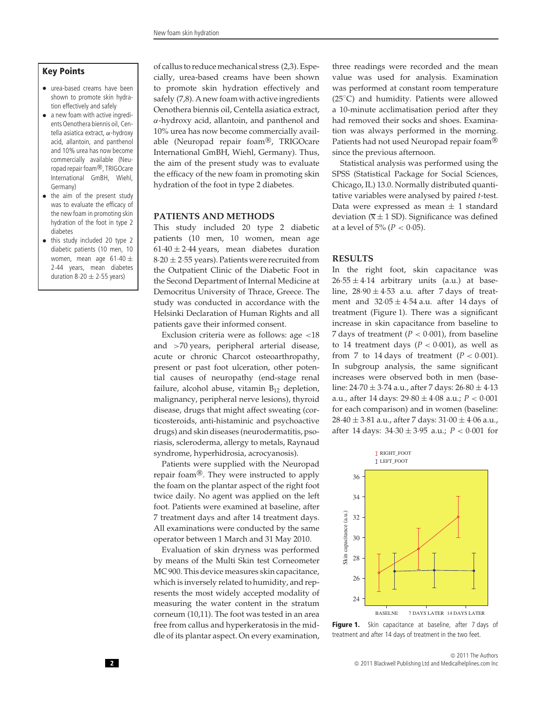## **Key Points**

- urea-based creams have been shown to promote skin hydration effectively and safely
- a new foam with active ingredients Oenothera biennis oil, Centella asiatica extract, *α*-hydroxy acid, allantoin, and panthenol and 10% urea has now become commercially available (Neuropad repair foam®, TRIGOcare International GmBH, Wiehl, Germany)
- the aim of the present study was to evaluate the efficacy of the new foam in promoting skin hydration of the foot in type 2 diabetes
- this study included 20 type 2 diabetic patients (10 men, 10 women, mean age  $61.40 \pm$ 2·44 years, mean diabetes duration  $8.20 \pm 2.55$  years)

of callus to reduce mechanical stress (2,3). Especially, urea-based creams have been shown to promote skin hydration effectively and safely (7,8). A new foam with active ingredients Oenothera biennis oil, Centella asiatica extract, *α*-hydroxy acid, allantoin, and panthenol and 10% urea has now become commercially available (Neuropad repair foam®, TRIGOcare International GmBH, Wiehl, Germany). Thus, the aim of the present study was to evaluate the efficacy of the new foam in promoting skin hydration of the foot in type 2 diabetes.

# **PATIENTS AND METHODS**

This study included 20 type 2 diabetic patients (10 men, 10 women, mean age  $61.40 \pm 2.44$  years, mean diabetes duration  $8.20 \pm 2.55$  years). Patients were recruited from the Outpatient Clinic of the Diabetic Foot in the Second Department of Internal Medicine at Democritus University of Thrace, Greece. The study was conducted in accordance with the Helsinki Declaration of Human Rights and all patients gave their informed consent.

Exclusion criteria were as follows: age *<*18 and *>*70 years, peripheral arterial disease, acute or chronic Charcot osteoarthropathy, present or past foot ulceration, other potential causes of neuropathy (end-stage renal failure, alcohol abuse, vitamin  $B_{12}$  depletion, malignancy, peripheral nerve lesions), thyroid disease, drugs that might affect sweating (corticosteroids, anti-histaminic and psychoactive drugs) and skin diseases (neurodermatitis, psoriasis, scleroderma, allergy to metals, Raynaud syndrome, hyperhidrosia, acrocyanosis).

Patients were supplied with the Neuropad repair foam®. They were instructed to apply the foam on the plantar aspect of the right foot twice daily. No agent was applied on the left foot. Patients were examined at baseline, after 7 treatment days and after 14 treatment days. All examinations were conducted by the same operator between 1 March and 31 May 2010.

Evaluation of skin dryness was performed by means of the Multi Skin test Corneometer MC 900. This device measures skin capacitance, which is inversely related to humidity, and represents the most widely accepted modality of measuring the water content in the stratum corneum (10,11). The foot was tested in an area free from callus and hyperkeratosis in the middle of its plantar aspect. On every examination,

three readings were recorded and the mean value was used for analysis. Examination was performed at constant room temperature (25◦ C) and humidity. Patients were allowed a 10-minute acclimatisation period after they had removed their socks and shoes. Examination was always performed in the morning. Patients had not used Neuropad repair foam® since the previous afternoon.

Statistical analysis was performed using the SPSS (Statistical Package for Social Sciences, Chicago, IL) 13.0. Normally distributed quantitative variables were analysed by paired *t*-test. Data were expressed as mean  $\pm$  1 standard deviation ( $\overline{x} \pm 1$  SD). Significance was defined at a level of  $5\% (P < 0.05)$ .

## **RESULTS**

In the right foot, skin capacitance was  $26.55 \pm 4.14$  arbitrary units (a.u.) at baseline,  $28.90 \pm 4.53$  a.u. after 7 days of treatment and  $32.05 \pm 4.54$  a.u. after 14 days of treatment (Figure 1). There was a significant increase in skin capacitance from baseline to 7 days of treatment  $(P < 0.001)$ , from baseline to 14 treatment days  $(P < 0.001)$ , as well as from 7 to 14 days of treatment  $(P < 0.001)$ . In subgroup analysis, the same significant increases were observed both in men (baseline:  $24.70 \pm 3.74$  a.u., after 7 days:  $26.80 \pm 4.13$ a.u., after 14 days: 29·80 ± 4·08 a.u.; *P <* 0·001 for each comparison) and in women (baseline:  $28.40 \pm 3.81$  a.u., after 7 days:  $31.00 \pm 4.06$  a.u., after 14 days: 34·30 ± 3·95 a.u.; *P <* 0·001 for



Figure 1. Skin capacitance at baseline, after 7 days of treatment and after 14 days of treatment in the two feet.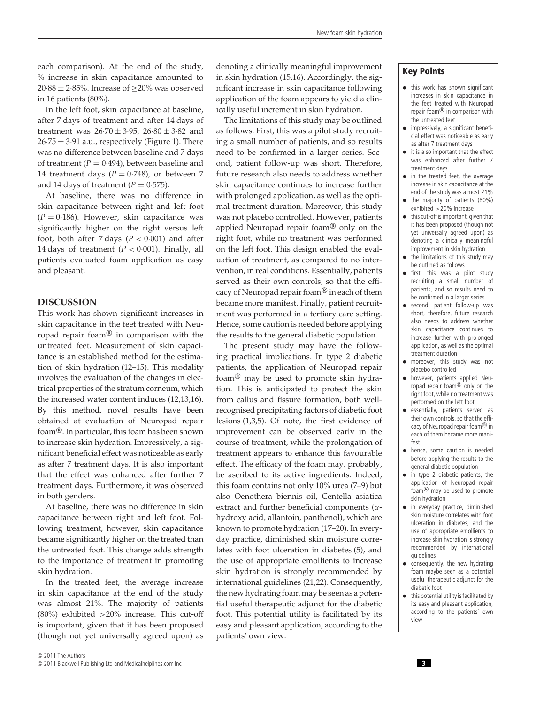each comparison). At the end of the study, % increase in skin capacitance amounted to 20·88  $\pm$  2·85%. Increase of  $\geq$ 20% was observed in 16 patients (80%).

In the left foot, skin capacitance at baseline, after 7 days of treatment and after 14 days of treatment was  $26.70 \pm 3.95$ ,  $26.80 \pm 3.82$  and  $26.75 \pm 3.91$  a.u., respectively (Figure 1). There was no difference between baseline and 7 days of treatment  $(P = 0.494)$ , between baseline and 14 treatment days  $(P = 0.748)$ , or between 7 and 14 days of treatment  $(P = 0.575)$ .

At baseline, there was no difference in skin capacitance between right and left foot  $(P = 0.186)$ . However, skin capacitance was significantly higher on the right versus left foot, both after 7 days  $(P < 0.001)$  and after 14 days of treatment  $(P < 0.001)$ . Finally, all patients evaluated foam application as easy and pleasant.

#### **DISCUSSION**

This work has shown significant increases in skin capacitance in the feet treated with Neuropad repair foam® in comparison with the untreated feet. Measurement of skin capacitance is an established method for the estimation of skin hydration (12–15). This modality involves the evaluation of the changes in electrical properties of the stratum corneum, which the increased water content induces (12,13,16). By this method, novel results have been obtained at evaluation of Neuropad repair foam<sup>®</sup>. In particular, this foam has been shown to increase skin hydration. Impressively, a significant beneficial effect was noticeable as early as after 7 treatment days. It is also important that the effect was enhanced after further 7 treatment days. Furthermore, it was observed in both genders.

At baseline, there was no difference in skin capacitance between right and left foot. Following treatment, however, skin capacitance became significantly higher on the treated than the untreated foot. This change adds strength to the importance of treatment in promoting skin hydration.

In the treated feet, the average increase in skin capacitance at the end of the study was almost 21%. The majority of patients (80%) exhibited *>*20% increase. This cut-off is important, given that it has been proposed (though not yet universally agreed upon) as

denoting a clinically meaningful improvement in skin hydration (15,16). Accordingly, the significant increase in skin capacitance following application of the foam appears to yield a clinically useful increment in skin hydration.

The limitations of this study may be outlined as follows. First, this was a pilot study recruiting a small number of patients, and so results need to be confirmed in a larger series. Second, patient follow-up was short. Therefore, future research also needs to address whether skin capacitance continues to increase further with prolonged application, as well as the optimal treatment duration. Moreover, this study was not placebo controlled. However, patients applied Neuropad repair foam® only on the right foot, while no treatment was performed on the left foot. This design enabled the evaluation of treatment, as compared to no intervention, in real conditions. Essentially, patients served as their own controls, so that the efficacy of Neuropad repair foam® in each of them became more manifest. Finally, patient recruitment was performed in a tertiary care setting. Hence, some caution is needed before applying the results to the general diabetic population.

The present study may have the following practical implications. In type 2 diabetic patients, the application of Neuropad repair foam® may be used to promote skin hydration. This is anticipated to protect the skin from callus and fissure formation, both wellrecognised precipitating factors of diabetic foot lesions (1,3,5). Of note, the first evidence of improvement can be observed early in the course of treatment, while the prolongation of treatment appears to enhance this favourable effect. The efficacy of the foam may, probably, be ascribed to its active ingredients. Indeed, this foam contains not only 10% urea (7–9) but also Oenothera biennis oil, Centella asiatica extract and further beneficial components (*α*hydroxy acid, allantoin, panthenol), which are known to promote hydration (17–20). In everyday practice, diminished skin moisture correlates with foot ulceration in diabetes (5), and the use of appropriate emollients to increase skin hydration is strongly recommended by international guidelines (21,22). Consequently, the new hydrating foam may be seen as a potential useful therapeutic adjunct for the diabetic foot. This potential utility is facilitated by its easy and pleasant application, according to the patients' own view.

## **Key Points**

- this work has shown significant increases in skin capacitance in the feet treated with Neuropad repair foam® in comparison with the untreated feet
- impressively, a significant beneficial effect was noticeable as early as after 7 treatment days
- it is also important that the effect was enhanced after further 7 treatment days
- in the treated feet, the average increase in skin capacitance at the end of the study was almost 21%
- the majority of patients (80%) exhibited *>*20% increase
- this cut-off is important, given that it has been proposed (though not yet universally agreed upon) as denoting a clinically meaningful improvement in skin hydration
- the limitations of this study may be outlined as follows
- first, this was a pilot study recruiting a small number of patients, and so results need to be confirmed in a larger series
- second, patient follow-up was short, therefore, future research also needs to address whether skin capacitance continues to increase further with prolonged application, as well as the optimal treatment duration
- moreover, this study was not placebo controlled
- however, patients applied Neuropad repair foam® only on the right foot, while no treatment was performed on the left foot
- essentially, patients served as their own controls, so that the efficacy of Neuropad repair foam® in each of them became more manifest
- hence, some caution is needed before applying the results to the general diabetic population
- in type 2 diabetic patients, the application of Neuropad repair foam® may be used to promote skin hydration
- in everyday practice, diminished skin moisture correlates with foot ulceration in diabetes, and the use of appropriate emollients to increase skin hydration is strongly recommended by international guidelines
- consequently, the new hydrating foam maybe seen as a potential useful therapeutic adjunct for the diabetic foot
- this potential utility is facilitated by its easy and pleasant application, according to the patients' own view

<sup>©</sup> 2011 Blackwell Publishing Ltd and Medicalhelplines.com Inc **3**